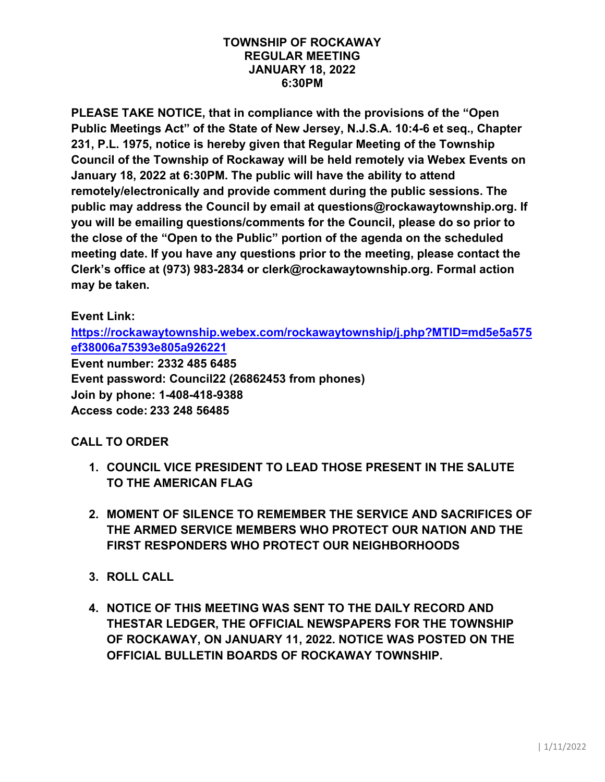#### **TOWNSHIP OF ROCKAWAY REGULAR MEETING JANUARY 18, 2022 6:30PM**

**PLEASE TAKE NOTICE, that in compliance with the provisions of the "Open Public Meetings Act" of the State of New Jersey, N.J.S.A. 10:4-6 et seq., Chapter 231, P.L. 1975, notice is hereby given that Regular Meeting of the Township Council of the Township of Rockaway will be held remotely via Webex Events on January 18, 2022 at 6:30PM. The public will have the ability to attend remotely/electronically and provide comment during the public sessions. The public may address the Council by email at questions@rockawaytownship.org. If you will be emailing questions/comments for the Council, please do so prior to the close of the "Open to the Public" portion of the agenda on the scheduled meeting date. If you have any questions prior to the meeting, please contact the Clerk's office at (973) 983-2834 or clerk@rockawaytownship.org. Formal action may be taken.** 

## **Event Link:**

**[https://rockawaytownship.webex.com/rockawaytownship/j.php?MTID=md5e5a575](https://rockawaytownship.webex.com/rockawaytownship/j.php?MTID=md5e5a575ef38006a75393e805a926221) [ef38006a75393e805a926221](https://rockawaytownship.webex.com/rockawaytownship/j.php?MTID=md5e5a575ef38006a75393e805a926221)**

**Event number: 2332 485 6485 Event password: Council22 (26862453 from phones) Join by phone: 1-408-418-9388 Access code: 233 248 56485**

## **CALL TO ORDER**

- **1. COUNCIL VICE PRESIDENT TO LEAD THOSE PRESENT IN THE SALUTE TO THE AMERICAN FLAG**
- **2. MOMENT OF SILENCE TO REMEMBER THE SERVICE AND SACRIFICES OF THE ARMED SERVICE MEMBERS WHO PROTECT OUR NATION AND THE FIRST RESPONDERS WHO PROTECT OUR NEIGHBORHOODS**
- **3. ROLL CALL**
- **4. NOTICE OF THIS MEETING WAS SENT TO THE DAILY RECORD AND THESTAR LEDGER, THE OFFICIAL NEWSPAPERS FOR THE TOWNSHIP OF ROCKAWAY, ON JANUARY 11, 2022. NOTICE WAS POSTED ON THE OFFICIAL BULLETIN BOARDS OF ROCKAWAY TOWNSHIP.**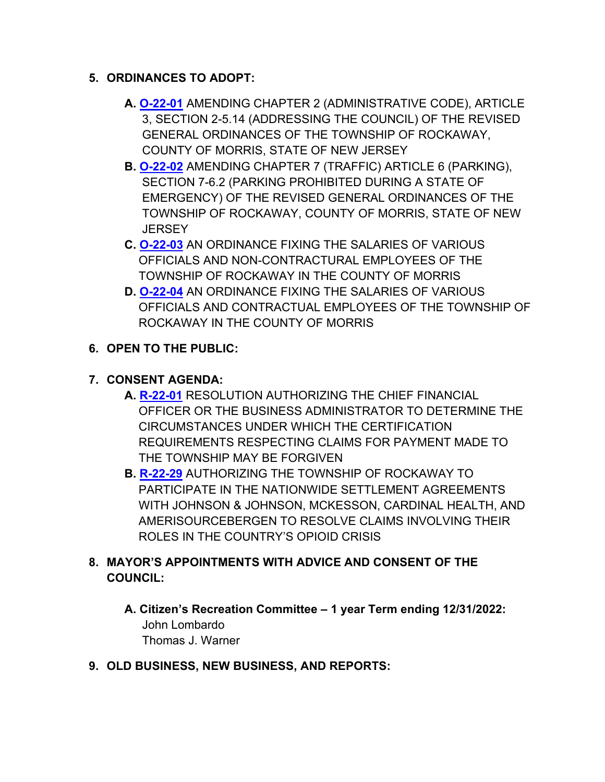#### **5. ORDINANCES TO ADOPT:**

- **A. [O-22-01](https://www.rockawaytownship.org/DocumentCenter/View/8049/O-22-01-12142021-Draft-Ordinance-Amending-Section-2-514-Addressing-the-Council)** AMENDING CHAPTER 2 (ADMINISTRATIVE CODE), ARTICLE 3, SECTION 2-5.14 (ADDRESSING THE COUNCIL) OF THE REVISED GENERAL ORDINANCES OF THE TOWNSHIP OF ROCKAWAY, COUNTY OF MORRIS, STATE OF NEW JERSEY
- **B. [O-22-02](https://www.rockawaytownship.org/DocumentCenter/View/8050/O-22-02-12162021-Ordinance-Amending-Section-7-62-Parking-Prohibited-During-State-of-Emergency)** AMENDING CHAPTER 7 (TRAFFIC) ARTICLE 6 (PARKING), SECTION 7-6.2 (PARKING PROHIBITED DURING A STATE OF EMERGENCY) OF THE REVISED GENERAL ORDINANCES OF THE TOWNSHIP OF ROCKAWAY, COUNTY OF MORRIS, STATE OF NEW **JERSEY**
- **C. [O-22-03](https://www.rockawaytownship.org/DocumentCenter/View/8051/O-22-03-Copy-of-2022-Salary-Ordinance---NonContractural)** AN ORDINANCE FIXING THE SALARIES OF VARIOUS OFFICIALS AND NON-CONTRACTURAL EMPLOYEES OF THE TOWNSHIP OF ROCKAWAY IN THE COUNTY OF MORRIS
- **D. [O-22-04](https://www.rockawaytownship.org/DocumentCenter/View/8052/O-22-04-Copy-of-2022-Salary-Ordinance---MCVI)** AN ORDINANCE FIXING THE SALARIES OF VARIOUS OFFICIALS AND CONTRACTUAL EMPLOYEES OF THE TOWNSHIP OF ROCKAWAY IN THE COUNTY OF MORRIS

## **6. OPEN TO THE PUBLIC:**

# **7. CONSENT AGENDA:**

- **A. [R-22-01](https://www.rockawaytownship.org/DocumentCenter/View/8093/R-22-01-Resolution-to-Amend-Claimant-Certification-Under-Certain-Circumstances)** RESOLUTION AUTHORIZING THE CHIEF FINANCIAL OFFICER OR THE BUSINESS ADMINISTRATOR TO DETERMINE THE CIRCUMSTANCES UNDER WHICH THE CERTIFICATION REQUIREMENTS RESPECTING CLAIMS FOR PAYMENT MADE TO THE TOWNSHIP MAY BE FORGIVEN
- **B. [R-22-29](https://www.rockawaytownship.org/DocumentCenter/View/8094/R-22-29-01-10-22-Opioid-Settlement-Resolution)** AUTHORIZING THE TOWNSHIP OF ROCKAWAY TO PARTICIPATE IN THE NATIONWIDE SETTLEMENT AGREEMENTS WITH JOHNSON & JOHNSON, MCKESSON, CARDINAL HEALTH, AND AMERISOURCEBERGEN TO RESOLVE CLAIMS INVOLVING THEIR ROLES IN THE COUNTRY'S OPIOID CRISIS

## **8. MAYOR'S APPOINTMENTS WITH ADVICE AND CONSENT OF THE COUNCIL:**

- **A. Citizen's Recreation Committee – 1 year Term ending 12/31/2022:** John Lombardo Thomas J. Warner
- **9. OLD BUSINESS, NEW BUSINESS, AND REPORTS:**